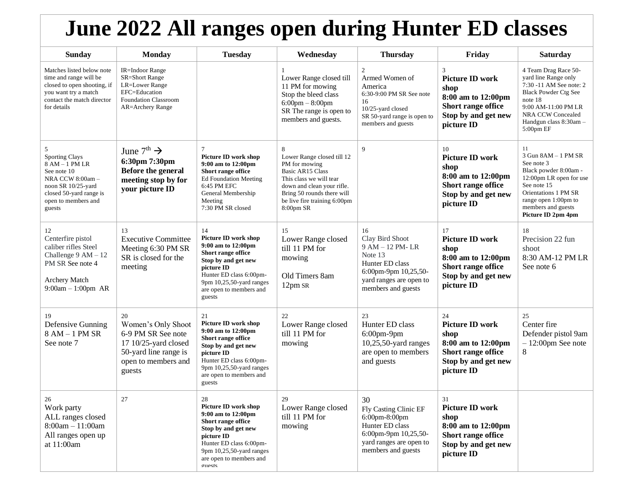## **June 2022 All ranges open during Hunter ED classes**

| <b>Sunday</b>                                                                                                                                                        | <b>Monday</b>                                                                                                                         | <b>Tuesday</b>                                                                                                                                                                                          | Wednesday                                                                                                                                                                                                       | <b>Thursday</b>                                                                                                                                         | Friday                                                                                                                | Saturday                                                                                                                                                                                                    |
|----------------------------------------------------------------------------------------------------------------------------------------------------------------------|---------------------------------------------------------------------------------------------------------------------------------------|---------------------------------------------------------------------------------------------------------------------------------------------------------------------------------------------------------|-----------------------------------------------------------------------------------------------------------------------------------------------------------------------------------------------------------------|---------------------------------------------------------------------------------------------------------------------------------------------------------|-----------------------------------------------------------------------------------------------------------------------|-------------------------------------------------------------------------------------------------------------------------------------------------------------------------------------------------------------|
| Matches listed below note<br>time and range will be<br>closed to open shooting, if<br>you want try a match<br>contact the match director<br>for details              | <b>IR=Indoor Range</b><br><b>SR=Short Range</b><br><b>LR=Lower Range</b><br>EFC=Education<br>Foundation Classroom<br>AR=Archery Range |                                                                                                                                                                                                         | Lower Range closed till<br>11 PM for mowing<br>Stop the bleed class<br>$6:00$ pm $-8:00$ pm<br>SR The range is open to<br>members and guests.                                                                   | $\overline{2}$<br>Armed Women of<br>America<br>6:30-9:00 PM SR See note<br>16<br>10/25-yard closed<br>SR 50-yard range is open to<br>members and guests | 3<br><b>Picture ID work</b><br>shop<br>8:00 am to 12:00pm<br>Short range office<br>Stop by and get new<br>picture ID  | 4 Team Drag Race 50-<br>yard line Range only<br>7:30 -11 AM See note: 2<br><b>Black Powder Ctg See</b><br>note 18<br>9:00 AM-11:00 PM LR<br><b>NRA CCW Concealed</b><br>Handgun class 8:30am -<br>5:00pm EF |
| 5<br><b>Sporting Clays</b><br>$8$ AM $-$ 1 PM LR<br>See note 10<br>NRA CCW 8:00am-<br>noon SR 10/25-yard<br>closed 50-yard range is<br>open to members and<br>guests | June $7^{\text{th}} \rightarrow$<br>6:30pm 7:30pm<br>Before the general<br>meeting stop by for<br>your picture ID                     | 7<br>Picture ID work shop<br>9:00 am to 12:00pm<br>Short range office<br>Ed Foundation Meeting<br>6:45 PM EFC<br>General Membership<br>Meeting<br>7:30 PM SR closed                                     | 8<br>Lower Range closed till 12<br>PM for mowing<br><b>Basic AR15 Class</b><br>This class we will tear<br>down and clean your rifle.<br>Bring 50 rounds there will<br>be live fire training 6:00pm<br>8:00pm SR | 9                                                                                                                                                       | 10<br><b>Picture ID work</b><br>shop<br>8:00 am to 12:00pm<br>Short range office<br>Stop by and get new<br>picture ID | 11<br>3 Gun 8AM - 1 PM SR<br>See note 3<br>Black powder 8:00am -<br>12:00pm LR open for use<br>See note 15<br>Orientations 1 PM SR<br>range open 1:00pm to<br>members and guests<br>Picture ID 2pm 4pm      |
| 12<br>Centerfire pistol<br>caliber rifles Steel<br>Challenge $9AM - 12$<br>PM SR See note 4<br>Archery Match<br>$9:00am - 1:00pm AR$                                 | 13<br><b>Executive Committee</b><br>Meeting 6:30 PM SR<br>SR is closed for the<br>meeting                                             | 14<br>Picture ID work shop<br>9:00 am to 12:00pm<br>Short range office<br>Stop by and get new<br>picture ID<br>Hunter ED class 6:00pm-<br>9pm 10,25,50-yard ranges<br>are open to members and<br>guests | 15<br>Lower Range closed<br>till 11 PM for<br>mowing<br>Old Timers 8am<br>12pm SR                                                                                                                               | 16<br>Clay Bird Shoot<br>9 AM - 12 PM-LR<br>Note 13<br>Hunter ED class<br>6:00pm-9pm 10,25,50-<br>yard ranges are open to<br>members and guests         | 17<br><b>Picture ID work</b><br>shop<br>8:00 am to 12:00pm<br>Short range office<br>Stop by and get new<br>picture ID | 18<br>Precision 22 fun<br>shoot<br>8:30 AM-12 PM LR<br>See note 6                                                                                                                                           |
| 19<br>Defensive Gunning<br>$8 AM - 1 PM SR$<br>See note 7                                                                                                            | 20<br>Women's Only Shoot<br>6-9 PM SR See note<br>17 10/25-yard closed<br>50-yard line range is<br>open to members and<br>guests      | 21<br>Picture ID work shop<br>9:00 am to 12:00pm<br>Short range office<br>Stop by and get new<br>picture ID<br>Hunter ED class 6:00pm-<br>9pm 10,25,50-yard ranges<br>are open to members and<br>guests | 22<br>Lower Range closed<br>till 11 PM for<br>mowing                                                                                                                                                            | 23<br>Hunter ED class<br>6:00pm-9pm<br>$10,25,50$ -yard ranges<br>are open to members<br>and guests                                                     | 24<br><b>Picture ID work</b><br>shop<br>8:00 am to 12:00pm<br>Short range office<br>Stop by and get new<br>picture ID | 25<br>Center fire<br>Defender pistol 9am<br>$-12:00$ pm See note<br>$\,8\,$                                                                                                                                 |
| 26<br>Work party<br>ALL ranges closed<br>$8:00am - 11:00am$<br>All ranges open up<br>at 11:00am                                                                      | 27                                                                                                                                    | 28<br>Picture ID work shop<br>9:00 am to 12:00pm<br>Short range office<br>Stop by and get new<br>picture ID<br>Hunter ED class 6:00pm-<br>9pm 10,25,50-yard ranges<br>are open to members and<br>onests | 29<br>Lower Range closed<br>till 11 PM for<br>mowing                                                                                                                                                            | 30<br>Fly Casting Clinic EF<br>$6:00$ pm $-8:00$ pm<br>Hunter ED class<br>6:00pm-9pm 10,25,50-<br>yard ranges are open to<br>members and guests         | 31<br><b>Picture ID work</b><br>shop<br>8:00 am to 12:00pm<br>Short range office<br>Stop by and get new<br>picture ID |                                                                                                                                                                                                             |